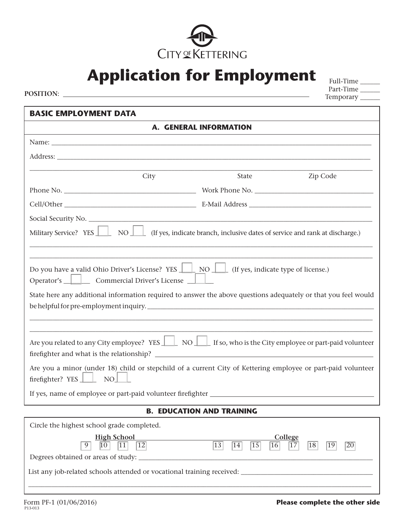

**Application for Employment** Full-Time

Part-Time Temporary \_\_\_\_\_\_ **POSITION**:

| <b>BASIC EMPLOYMENT DATA</b>                                                                                                                                                                                                                                                    |                        |          |  |  |
|---------------------------------------------------------------------------------------------------------------------------------------------------------------------------------------------------------------------------------------------------------------------------------|------------------------|----------|--|--|
|                                                                                                                                                                                                                                                                                 | A. GENERAL INFORMATION |          |  |  |
|                                                                                                                                                                                                                                                                                 |                        |          |  |  |
|                                                                                                                                                                                                                                                                                 |                        |          |  |  |
| City                                                                                                                                                                                                                                                                            | <b>State</b>           | Zip Code |  |  |
|                                                                                                                                                                                                                                                                                 |                        |          |  |  |
|                                                                                                                                                                                                                                                                                 |                        |          |  |  |
|                                                                                                                                                                                                                                                                                 |                        |          |  |  |
| Military Service? YES NOU NOU (If yes, indicate branch, inclusive dates of service and rank at discharge.)                                                                                                                                                                      |                        |          |  |  |
|                                                                                                                                                                                                                                                                                 |                        |          |  |  |
| Do you have a valid Ohio Driver's License? YES $\Box$ NO $\Box$ (If yes, indicate type of license.)<br>Operator's <u>Universe</u> Commercial Driver's License<br>State here any additional information required to answer the above questions adequately or that you feel would |                        |          |  |  |
|                                                                                                                                                                                                                                                                                 |                        |          |  |  |
|                                                                                                                                                                                                                                                                                 |                        |          |  |  |
| Are you related to any City employee? YES $\Box$ NO $\Box$ If so, who is the City employee or part-paid volunteer                                                                                                                                                               |                        |          |  |  |
| Are you a minor (under 18) child or stepchild of a current City of Kettering employee or part-paid volunteer<br>firefighter? YES   NO                                                                                                                                           |                        |          |  |  |
|                                                                                                                                                                                                                                                                                 |                        |          |  |  |
| <b>B. EDUCATION AND TRAINING</b>                                                                                                                                                                                                                                                |                        |          |  |  |
|                                                                                                                                                                                                                                                                                 |                        |          |  |  |

Circle the highest school grade completed.

| <b>High School</b>                                                                                   | <b>College</b>                                                                                                        |  |  |  |
|------------------------------------------------------------------------------------------------------|-----------------------------------------------------------------------------------------------------------------------|--|--|--|
| $\boxed{10}$ $\boxed{11}$ $\boxed{12}$<br>9                                                          | $\overline{16}$ $\overline{17}$<br>$\overline{15}$<br> 18 <br>13<br>$\overline{20}$<br>$\overline{14}$<br>$\sqrt{19}$ |  |  |  |
|                                                                                                      |                                                                                                                       |  |  |  |
| List any job-related schools attended or vocational training received: _____________________________ |                                                                                                                       |  |  |  |
|                                                                                                      |                                                                                                                       |  |  |  |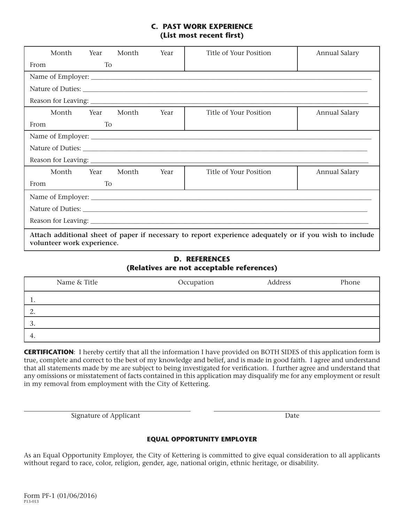## **C. PAST WORK EXPERIENCE (List most recent first)**

| Month                                                                                                                                 | Year              | Month | Year | Title of Your Position | Annual Salary        |
|---------------------------------------------------------------------------------------------------------------------------------------|-------------------|-------|------|------------------------|----------------------|
| From                                                                                                                                  | To                |       |      |                        |                      |
|                                                                                                                                       |                   |       |      |                        |                      |
|                                                                                                                                       |                   |       |      |                        |                      |
|                                                                                                                                       |                   |       |      |                        |                      |
| Month Year                                                                                                                            |                   | Month | Year | Title of Your Position | <b>Annual Salary</b> |
| From                                                                                                                                  | T <sub>o</sub>    |       |      |                        |                      |
|                                                                                                                                       |                   |       |      |                        |                      |
|                                                                                                                                       | Nature of Duties: |       |      |                        |                      |
|                                                                                                                                       |                   |       |      |                        |                      |
| Month Year                                                                                                                            |                   | Month | Year | Title of Your Position | <b>Annual Salary</b> |
| From                                                                                                                                  | T <sub>o</sub>    |       |      |                        |                      |
|                                                                                                                                       |                   |       |      |                        |                      |
| Nature of Duties: Latin Communication of Duties:                                                                                      |                   |       |      |                        |                      |
|                                                                                                                                       |                   |       |      |                        |                      |
| Attach additional sheet of paper if necessary to report experience adequately or if you wish to include<br>volunteer work experience. |                   |       |      |                        |                      |

## **D. REFERENCES (Relatives are not acceptable references)**

| Name & Title | Occupation | Address | Phone |
|--------------|------------|---------|-------|
| . .          |            |         |       |
|              |            |         |       |
| . ب          |            |         |       |
| 4.           |            |         |       |

**CERTIFICATION**: I hereby certify that all the information I have provided on BOTH SIDES of this application form is true, complete and correct to the best of my knowledge and belief, and is made in good faith. I agree and understand that all statements made by me are subject to being investigated for verification. I further agree and understand that any omissions or misstatement of facts contained in this application may disqualify me for any employment or result in my removal from employment with the City of Kettering.

Signature of Applicant Date

## **EQUAL OPPORTUNITY EMPLOYER**

As an Equal Opportunity Employer, the City of Kettering is committed to give equal consideration to all applicants without regard to race, color, religion, gender, age, national origin, ethnic heritage, or disability.